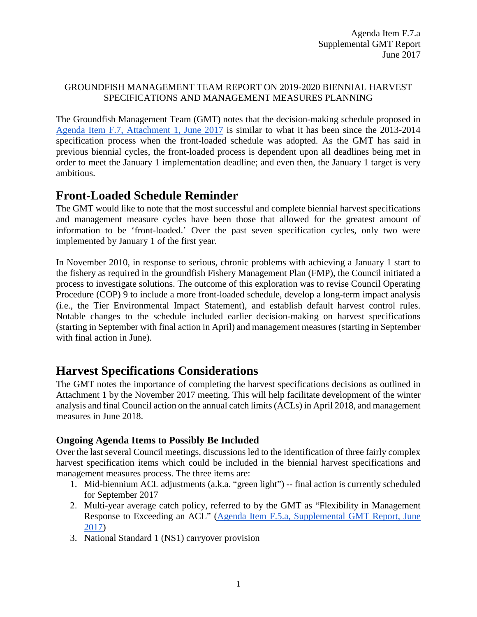## GROUNDFISH MANAGEMENT TEAM REPORT ON 2019-2020 BIENNIAL HARVEST SPECIFICATIONS AND MANAGEMENT MEASURES PLANNING

The Groundfish Management Team (GMT) notes that the decision-making schedule proposed in [Agenda Item F.7, Attachment 1, June 2017](http://www.pcouncil.org/wp-content/uploads/2017/05/F7_Att1_Spex_Schedule_Jun2017BB.pdf) is similar to what it has been since the 2013-2014 specification process when the front-loaded schedule was adopted. As the GMT has said in previous biennial cycles, the front-loaded process is dependent upon all deadlines being met in order to meet the January 1 implementation deadline; and even then, the January 1 target is very ambitious.

# **Front-Loaded Schedule Reminder**

The GMT would like to note that the most successful and complete biennial harvest specifications and management measure cycles have been those that allowed for the greatest amount of information to be 'front-loaded.' Over the past seven specification cycles, only two were implemented by January 1 of the first year.

In November 2010, in response to serious, chronic problems with achieving a January 1 start to the fishery as required in the groundfish Fishery Management Plan (FMP), the Council initiated a process to investigate solutions. The outcome of this exploration was to revise Council Operating Procedure (COP) 9 to include a more front-loaded schedule, develop a long-term impact analysis (i.e., the Tier Environmental Impact Statement), and establish default harvest control rules. Notable changes to the schedule included earlier decision-making on harvest specifications (starting in September with final action in April) and management measures (starting in September with final action in June).

# **Harvest Specifications Considerations**

The GMT notes the importance of completing the harvest specifications decisions as outlined in Attachment 1 by the November 2017 meeting. This will help facilitate development of the winter analysis and final Council action on the annual catch limits (ACLs) in April 2018, and management measures in June 2018.

# **Ongoing Agenda Items to Possibly Be Included**

Over the last several Council meetings, discussions led to the identification of three fairly complex harvest specification items which could be included in the biennial harvest specifications and management measures process. The three items are:

- 1. Mid-biennium ACL adjustments (a.k.a. "green light") -- final action is currently scheduled for September 2017
- 2. Multi-year average catch policy, referred to by the GMT as "Flexibility in Management Response to Exceeding an ACL" [\(Agenda Item F.5.a, Supplemental GMT Report, June](http://www.pcouncil.org/wp-content/uploads/2017/06/F5a_Sup_GMT_Rpt_MultiYearAvgCatchPolicy_Jun2017BB.pdf)  [2017\)](http://www.pcouncil.org/wp-content/uploads/2017/06/F5a_Sup_GMT_Rpt_MultiYearAvgCatchPolicy_Jun2017BB.pdf)
- 3. National Standard 1 (NS1) carryover provision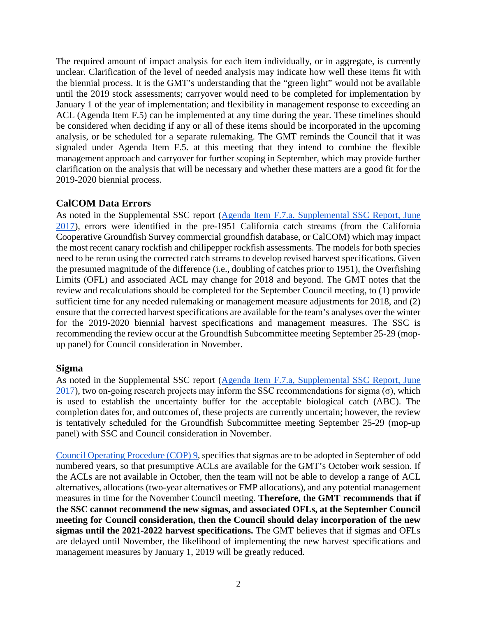The required amount of impact analysis for each item individually, or in aggregate, is currently unclear. Clarification of the level of needed analysis may indicate how well these items fit with the biennial process. It is the GMT's understanding that the "green light" would not be available until the 2019 stock assessments; carryover would need to be completed for implementation by January 1 of the year of implementation; and flexibility in management response to exceeding an ACL (Agenda Item F.5) can be implemented at any time during the year. These timelines should be considered when deciding if any or all of these items should be incorporated in the upcoming analysis, or be scheduled for a separate rulemaking. The GMT reminds the Council that it was signaled under Agenda Item F.5. at this meeting that they intend to combine the flexible management approach and carryover for further scoping in September, which may provide further clarification on the analysis that will be necessary and whether these matters are a good fit for the 2019-2020 biennial process.

## **CalCOM Data Errors**

As noted in the Supplemental SSC report [\(Agenda Item F.7.a. Supplemental SSC Report, June](http://www.pcouncil.org/wp-content/uploads/2017/06/F7a_Sup_SSC_Rpt_Spex_Final_Jun2017BB.pdf)  [2017\)](http://www.pcouncil.org/wp-content/uploads/2017/06/F7a_Sup_SSC_Rpt_Spex_Final_Jun2017BB.pdf), errors were identified in the pre-1951 California catch streams (from the California Cooperative Groundfish Survey commercial groundfish database, or CalCOM) which may impact the most recent canary rockfish and chilipepper rockfish assessments. The models for both species need to be rerun using the corrected catch streams to develop revised harvest specifications. Given the presumed magnitude of the difference (i.e., doubling of catches prior to 1951), the Overfishing Limits (OFL) and associated ACL may change for 2018 and beyond. The GMT notes that the review and recalculations should be completed for the September Council meeting, to (1) provide sufficient time for any needed rulemaking or management measure adjustments for 2018, and (2) ensure that the corrected harvest specifications are available for the team's analyses over the winter for the 2019-2020 biennial harvest specifications and management measures. The SSC is recommending the review occur at the Groundfish Subcommittee meeting September 25-29 (mopup panel) for Council consideration in November.

## **Sigma**

As noted in the Supplemental SSC report (Agenda Item F.7.a, [Supplemental SSC Report, June](http://www.pcouncil.org/wp-content/uploads/2017/06/F7a_Sup_SSC_Rpt_Spex_Final_Jun2017BB.pdf)  [2017\)](http://www.pcouncil.org/wp-content/uploads/2017/06/F7a_Sup_SSC_Rpt_Spex_Final_Jun2017BB.pdf), two on-going research projects may inform the SSC recommendations for sigma  $(\sigma)$ , which is used to establish the uncertainty buffer for the acceptable biological catch (ABC). The completion dates for, and outcomes of, these projects are currently uncertain; however, the review is tentatively scheduled for the Groundfish Subcommittee meeting September 25-29 (mop-up panel) with SSC and Council consideration in November.

[Council Operating Procedure \(COP\) 9,](http://www.pcouncil.org/wp-content/uploads/2017/04/cop9.pdf) specifies that sigmas are to be adopted in September of odd numbered years, so that presumptive ACLs are available for the GMT's October work session. If the ACLs are not available in October, then the team will not be able to develop a range of ACL alternatives, allocations (two-year alternatives or FMP allocations), and any potential management measures in time for the November Council meeting. **Therefore, the GMT recommends that if the SSC cannot recommend the new sigmas, and associated OFLs, at the September Council meeting for Council consideration, then the Council should delay incorporation of the new sigmas until the 2021-2022 harvest specifications.** The GMT believes that if sigmas and OFLs are delayed until November, the likelihood of implementing the new harvest specifications and management measures by January 1, 2019 will be greatly reduced.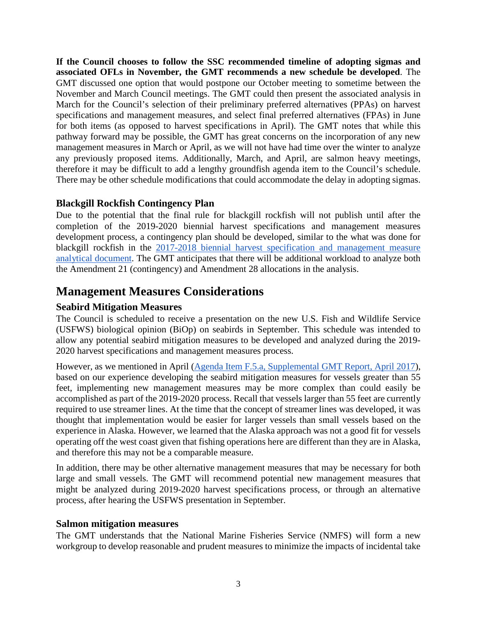**If the Council chooses to follow the SSC recommended timeline of adopting sigmas and associated OFLs in November, the GMT recommends a new schedule be developed**. The GMT discussed one option that would postpone our October meeting to sometime between the November and March Council meetings. The GMT could then present the associated analysis in March for the Council's selection of their preliminary preferred alternatives (PPAs) on harvest specifications and management measures, and select final preferred alternatives (FPAs) in June for both items (as opposed to harvest specifications in April). The GMT notes that while this pathway forward may be possible, the GMT has great concerns on the incorporation of any new management measures in March or April, as we will not have had time over the winter to analyze any previously proposed items. Additionally, March, and April, are salmon heavy meetings, therefore it may be difficult to add a lengthy groundfish agenda item to the Council's schedule. There may be other schedule modifications that could accommodate the delay in adopting sigmas.

# **Blackgill Rockfish Contingency Plan**

Due to the potential that the final rule for blackgill rockfish will not publish until after the completion of the 2019-2020 biennial harvest specifications and management measures development process, a contingency plan should be developed, similar to the what was done for blackgill rockfish in the [2017-2018 biennial harvest specification and management measure](http://www.pcouncil.org/wp-content/uploads/2016/09/17-18_Analytical_Document_Revised_Sept2016.pdf)  [analytical document.](http://www.pcouncil.org/wp-content/uploads/2016/09/17-18_Analytical_Document_Revised_Sept2016.pdf) The GMT anticipates that there will be additional workload to analyze both the Amendment 21 (contingency) and Amendment 28 allocations in the analysis.

# **Management Measures Considerations**

# **Seabird Mitigation Measures**

The Council is scheduled to receive a presentation on the new U.S. Fish and Wildlife Service (USFWS) biological opinion (BiOp) on seabirds in September. This schedule was intended to allow any potential seabird mitigation measures to be developed and analyzed during the 2019- 2020 harvest specifications and management measures process.

However, as we mentioned in April [\(Agenda Item F.5.a, Supplemental GMT Report, April 2017\)](http://www.pcouncil.org/wp-content/uploads/2017/04/F5a_Sup_GMT_Rpt_Apr2017BB.pdf), based on our experience developing the seabird mitigation measures for vessels greater than 55 feet, implementing new management measures may be more complex than could easily be accomplished as part of the 2019-2020 process. Recall that vessels larger than 55 feet are currently required to use streamer lines. At the time that the concept of streamer lines was developed, it was thought that implementation would be easier for larger vessels than small vessels based on the experience in Alaska. However, we learned that the Alaska approach was not a good fit for vessels operating off the west coast given that fishing operations here are different than they are in Alaska, and therefore this may not be a comparable measure.

In addition, there may be other alternative management measures that may be necessary for both large and small vessels. The GMT will recommend potential new management measures that might be analyzed during 2019-2020 harvest specifications process, or through an alternative process, after hearing the USFWS presentation in September.

## **Salmon mitigation measures**

The GMT understands that the National Marine Fisheries Service (NMFS) will form a new workgroup to develop reasonable and prudent measures to minimize the impacts of incidental take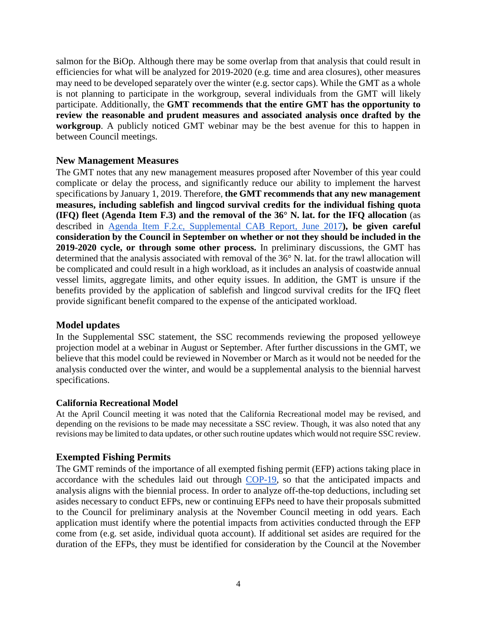salmon for the BiOp. Although there may be some overlap from that analysis that could result in efficiencies for what will be analyzed for 2019-2020 (e.g. time and area closures), other measures may need to be developed separately over the winter (e.g. sector caps). While the GMT as a whole is not planning to participate in the workgroup, several individuals from the GMT will likely participate. Additionally, the **GMT recommends that the entire GMT has the opportunity to review the reasonable and prudent measures and associated analysis once drafted by the workgroup**. A publicly noticed GMT webinar may be the best avenue for this to happen in between Council meetings.

## **New Management Measures**

The GMT notes that any new management measures proposed after November of this year could complicate or delay the process, and significantly reduce our ability to implement the harvest specifications by January 1, 2019. Therefore, **the GMT recommends that any new management measures, including sablefish and lingcod survival credits for the individual fishing quota (IFQ) fleet (Agenda Item F.3) and the removal of the 36° N. lat. for the IFQ allocation** (as described in [Agenda Item F.2.c, Supplemental CAB Report, June 2017](http://www.pcouncil.org/wp-content/uploads/2017/06/F2c_Sup_CAB_Rpt_Jun2017BB.pdf)**), be given careful consideration by the Council in September on whether or not they should be included in the 2019-2020 cycle, or through some other process.** In preliminary discussions, the GMT has determined that the analysis associated with removal of the 36° N. lat. for the trawl allocation will be complicated and could result in a high workload, as it includes an analysis of coastwide annual vessel limits, aggregate limits, and other equity issues. In addition, the GMT is unsure if the benefits provided by the application of sablefish and lingcod survival credits for the IFQ fleet provide significant benefit compared to the expense of the anticipated workload.

## **Model updates**

In the Supplemental SSC statement, the SSC recommends reviewing the proposed yelloweye projection model at a webinar in August or September. After further discussions in the GMT, we believe that this model could be reviewed in November or March as it would not be needed for the analysis conducted over the winter, and would be a supplemental analysis to the biennial harvest specifications.

## **California Recreational Model**

At the April Council meeting it was noted that the California Recreational model may be revised, and depending on the revisions to be made may necessitate a SSC review. Though, it was also noted that any revisions may be limited to data updates, or other such routine updates which would not require SSC review.

# **Exempted Fishing Permits**

The GMT reminds of the importance of all exempted fishing permit (EFP) actions taking place in accordance with the schedules laid out through [COP-19,](http://www.pcouncil.org/wp-content/uploads/cop19.pdf) so that the anticipated impacts and analysis aligns with the biennial process. In order to analyze off-the-top deductions, including set asides necessary to conduct EFPs, new or continuing EFPs need to have their proposals submitted to the Council for preliminary analysis at the November Council meeting in odd years. Each application must identify where the potential impacts from activities conducted through the EFP come from (e.g. set aside, individual quota account). If additional set asides are required for the duration of the EFPs, they must be identified for consideration by the Council at the November